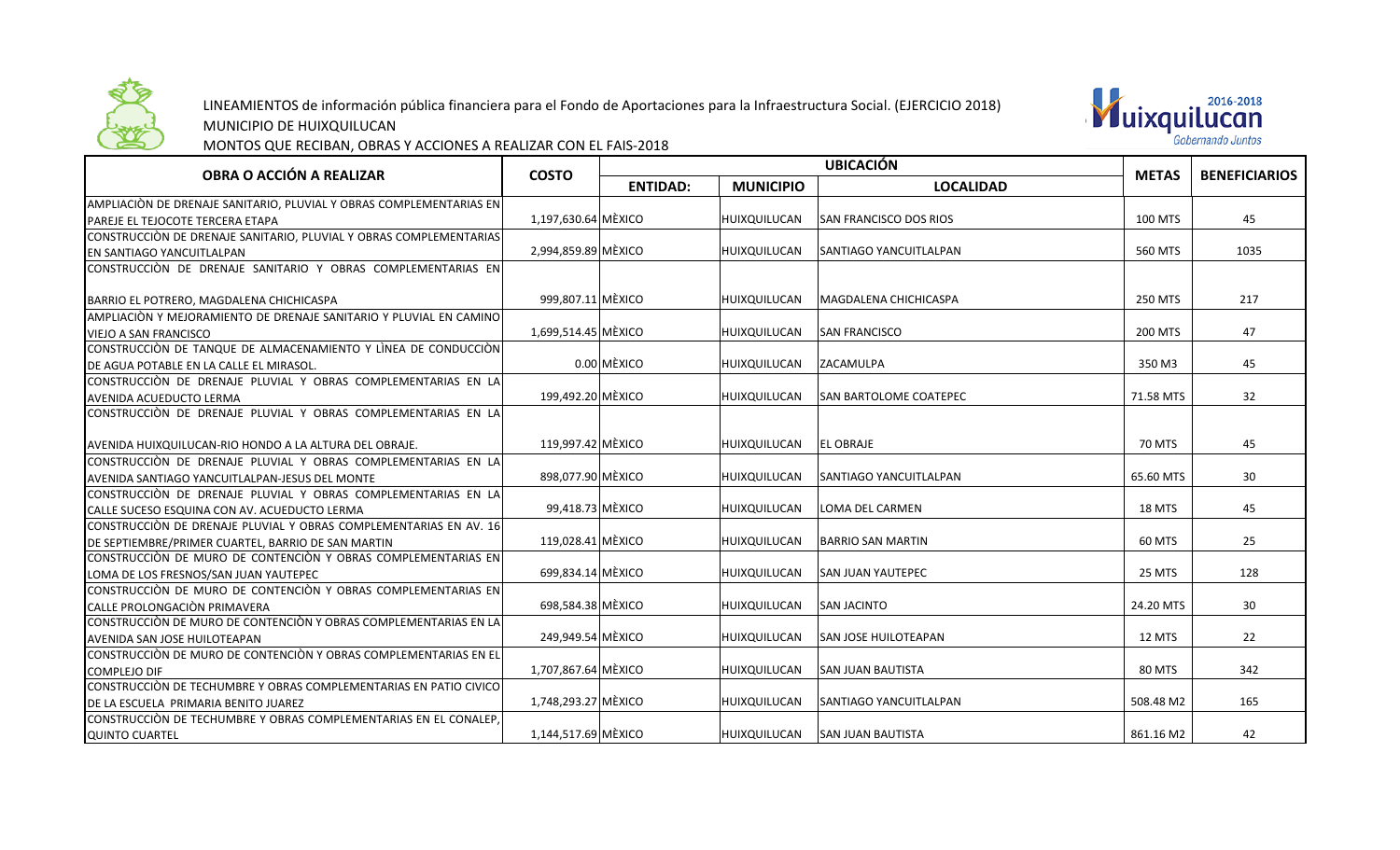

## LINEAMIENTOS de información pública financiera para el Fondo de Aportaciones para la Infraestructura Social. (EJERCICIO 2018)



MUNICIPIO DE HUIXQUILUCAN

MONTOS QUE RECIBAN, OBRAS Y ACCIONES A REALIZAR CON EL FAIS-2018

| OBRA O ACCIÓN A REALIZAR                                                                         | <b>COSTO</b>        | <b>UBICACIÓN</b> |                     |                               | <b>METAS</b>   | <b>BENEFICIARIOS</b> |
|--------------------------------------------------------------------------------------------------|---------------------|------------------|---------------------|-------------------------------|----------------|----------------------|
|                                                                                                  |                     | <b>ENTIDAD:</b>  | <b>MUNICIPIO</b>    | <b>LOCALIDAD</b>              |                |                      |
| AMPLIACIÒN DE DRENAJE SANITARIO, PLUVIAL Y OBRAS COMPLEMENTARIAS EN                              |                     |                  |                     |                               |                |                      |
| PAREJE EL TEJOCOTE TERCERA ETAPA                                                                 | 1,197,630.64 MÈXICO |                  | HUIXQUILUCAN        | <b>SAN FRANCISCO DOS RIOS</b> | <b>100 MTS</b> | 45                   |
| CONSTRUCCIÒN DE DRENAJE SANITARIO, PLUVIAL Y OBRAS COMPLEMENTARIAS                               |                     |                  |                     |                               |                |                      |
| EN SANTIAGO YANCUITLALPAN                                                                        | 2,994,859.89 MÈXICO |                  | HUIXQUILUCAN        | <b>SANTIAGO YANCUITLALPAN</b> | 560 MTS        | 1035                 |
| CONSTRUCCIÓN DE DRENAJE SANITARIO Y OBRAS COMPLEMENTARIAS EN                                     |                     |                  |                     |                               |                |                      |
|                                                                                                  |                     |                  |                     |                               |                |                      |
| BARRIO EL POTRERO, MAGDALENA CHICHICASPA                                                         | 999.807.11 MÈXICO   |                  | <b>HUIXQUILUCAN</b> | <b>MAGDALENA CHICHICASPA</b>  | 250 MTS        | 217                  |
| AMPLIACIÒN Y MEJORAMIENTO DE DRENAJE SANITARIO Y PLUVIAL EN CAMINO                               |                     |                  |                     |                               |                |                      |
| VIEJO A SAN FRANCISCO                                                                            | 1,699,514.45 MÈXICO |                  | HUIXQUILUCAN        | <b>SAN FRANCISCO</b>          | 200 MTS        | 47                   |
| CONSTRUCCIÒN DE TANQUE DE ALMACENAMIENTO Y LÌNEA DE CONDUCCIÒN                                   |                     |                  |                     |                               |                |                      |
| DE AGUA POTABLE EN LA CALLE EL MIRASOL.                                                          |                     | $0.00$ MEXICO    | HUIXQUILUCAN        | ZACAMULPA                     | 350 M3         | 45                   |
| CONSTRUCCIÓN DE DRENAJE PLUVIAL Y OBRAS COMPLEMENTARIAS EN LA                                    |                     |                  |                     |                               |                |                      |
| AVENIDA ACUEDUCTO LERMA                                                                          | 199,492.20 MÈXICO   |                  | HUIXQUILUCAN        | <b>SAN BARTOLOME COATEPEC</b> | 71.58 MTS      | 32                   |
| CONSTRUCCIÒN DE DRENAJE PLUVIAL Y OBRAS COMPLEMENTARIAS EN LA                                    |                     |                  |                     |                               |                |                      |
|                                                                                                  |                     |                  |                     |                               |                |                      |
| AVENIDA HUIXQUILUCAN-RIO HONDO A LA ALTURA DEL OBRAJE.                                           | 119.997.42 MÈXICO   |                  | HUIXQUILUCAN        | <b>EL OBRAJE</b>              | 70 MTS         | 45                   |
| CONSTRUCCIÒN DE DRENAJE PLUVIAL Y OBRAS COMPLEMENTARIAS EN LA                                    |                     |                  |                     |                               |                |                      |
| AVENIDA SANTIAGO YANCUITLALPAN-JESUS DEL MONTE                                                   | 898,077.90 MÈXICO   |                  | HUIXQUILUCAN        | <b>SANTIAGO YANCUITLALPAN</b> | 65.60 MTS      | 30 <sup>°</sup>      |
| CONSTRUCCIÓN DE DRENAJE PLUVIAL Y OBRAS COMPLEMENTARIAS EN LA                                    |                     |                  |                     |                               |                |                      |
| CALLE SUCESO ESQUINA CON AV. ACUEDUCTO LERMA                                                     | 99,418.73 MÈXICO    |                  | HUIXQUILUCAN        | LOMA DEL CARMEN               | 18 MTS         | 45                   |
| CONSTRUCCIÓN DE DRENAJE PLUVIAL Y OBRAS COMPLEMENTARIAS EN AV. 16                                |                     |                  |                     |                               |                |                      |
| DE SEPTIEMBRE/PRIMER CUARTEL, BARRIO DE SAN MARTIN                                               | 119,028.41 MÈXICO   |                  | HUIXQUILUCAN        | <b>BARRIO SAN MARTIN</b>      | 60 MTS         | 25                   |
| CONSTRUCCIÒN DE MURO DE CONTENCIÒN Y OBRAS COMPLEMENTARIAS EN                                    |                     |                  |                     |                               |                |                      |
| LOMA DE LOS FRESNOS/SAN JUAN YAUTEPEC                                                            | 699,834.14 MÈXICO   |                  | HUIXQUILUCAN        | <b>SAN JUAN YAUTEPEC</b>      | 25 MTS         | 128                  |
| $\mathop{\mathsf{CONSTRUCClON}}\limits$ de muro de contenciòn y obras complementarias en $\vert$ |                     |                  |                     |                               |                |                      |
| CALLE PROLONGACIÒN PRIMAVERA                                                                     | 698,584.38 MÈXICO   |                  | HUIXQUILUCAN        | <b>SAN JACINTO</b>            | 24.20 MTS      | 30 <sup>°</sup>      |
| CONSTRUCCIÒN DE MURO DE CONTENCIÒN Y OBRAS COMPLEMENTARIAS EN LA                                 |                     |                  |                     |                               |                |                      |
| AVENIDA SAN JOSE HUILOTEAPAN                                                                     | 249,949.54 MÈXICO   |                  | HUIXQUILUCAN        | <b>SAN JOSE HUILOTEAPAN</b>   | 12 MTS         | 22                   |
| CONSTRUCCIÒN DE MURO DE CONTENCIÒN Y OBRAS COMPLEMENTARIAS EN EL                                 |                     |                  |                     |                               |                |                      |
| <b>COMPLEJO DIF</b>                                                                              | 1,707,867.64 MÈXICO |                  | HUIXQUILUCAN        | <b>SAN JUAN BAUTISTA</b>      | 80 MTS         | 342                  |
| CONSTRUCCIÒN DE TECHUMBRE Y OBRAS COMPLEMENTARIAS EN PATIO CIVICO                                |                     |                  |                     |                               |                |                      |
| DE LA ESCUELA PRIMARIA BENITO JUAREZ                                                             | 1.748.293.27 MÈXICO |                  | HUIXQUILUCAN        | <b>SANTIAGO YANCUITLALPAN</b> | 508.48 M2      | 165                  |
| CONSTRUCCIÒN DE TECHUMBRE Y OBRAS COMPLEMENTARIAS EN EL CONALEP.                                 |                     |                  |                     |                               |                |                      |
| <b>QUINTO CUARTEL</b>                                                                            | 1,144,517.69 MÈXICO |                  | HUIXQUILUCAN        | <b>SAN JUAN BAUTISTA</b>      | 861.16 M2      | 42                   |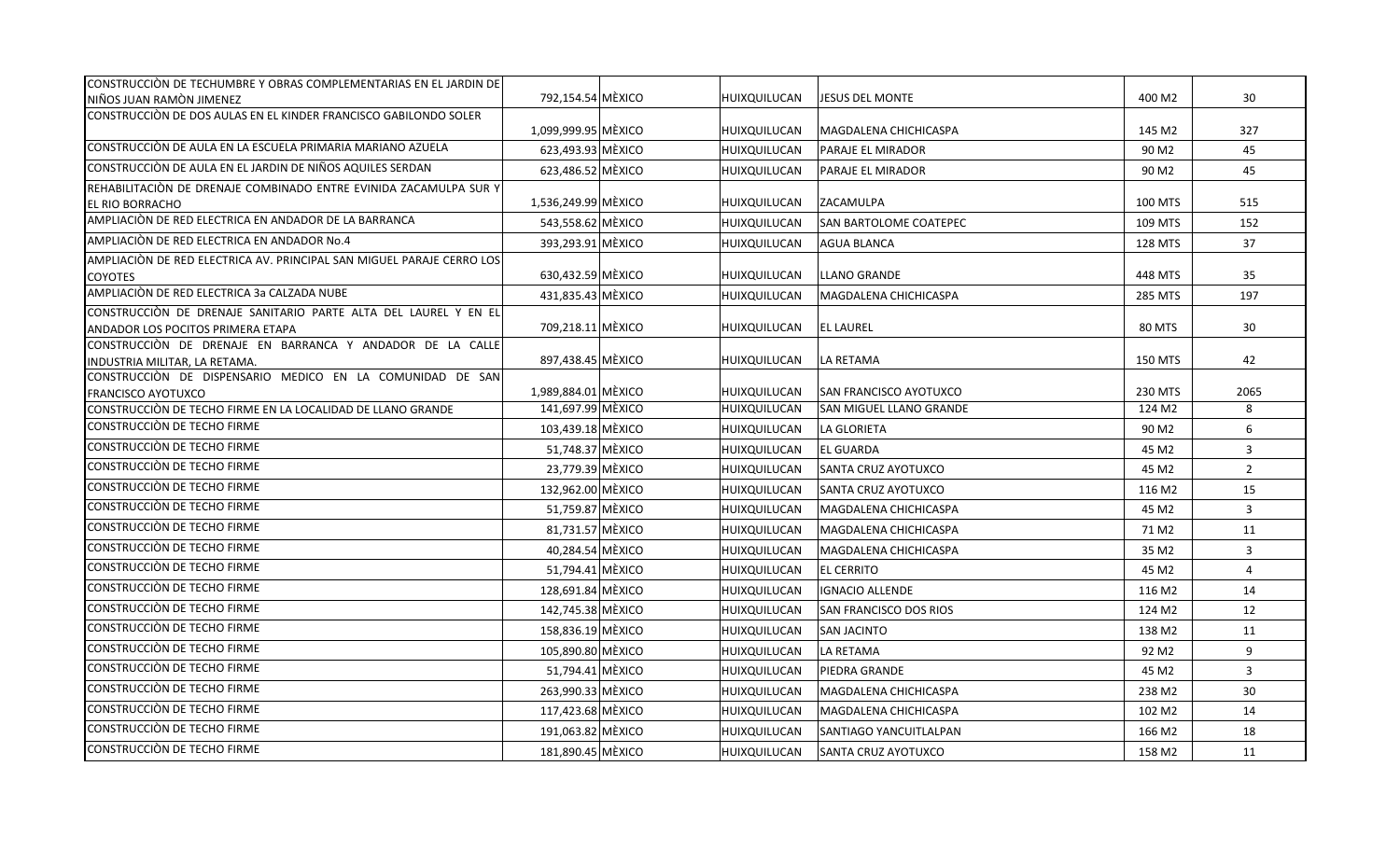| CONSTRUCCIÓN DE TECHUMBRE Y OBRAS COMPLEMENTARIAS EN EL JARDIN DE     |                     |              |                                |                    |                |
|-----------------------------------------------------------------------|---------------------|--------------|--------------------------------|--------------------|----------------|
| NIÑOS JUAN RAMÒN JIMENEZ                                              | 792,154.54 MÈXICO   | HUIXQUILUCAN | <b>JESUS DEL MONTE</b>         | 400 M <sub>2</sub> | 30             |
| CONSTRUCCIÓN DE DOS AULAS EN EL KINDER FRANCISCO GABILONDO SOLER      |                     |              |                                |                    |                |
|                                                                       | 1,099,999.95 MÈXICO | HUIXQUILUCAN | MAGDALENA CHICHICASPA          | 145 M2             | 327            |
| CONSTRUCCIÓN DE AULA EN LA ESCUELA PRIMARIA MARIANO AZUELA            | 623,493.93 MÈXICO   | HUIXQUILUCAN | PARAJE EL MIRADOR              | 90 M <sub>2</sub>  | 45             |
| CONSTRUCCIÒN DE AULA EN EL JARDIN DE NIÑOS AQUILES SERDAN             | 623,486.52 MÈXICO   | HUIXQUILUCAN | PARAJE EL MIRADOR              | 90 M <sub>2</sub>  | 45             |
| REHABILITACIÒN DE DRENAJE COMBINADO ENTRE EVINIDA ZACAMULPA SUR Y     |                     |              |                                |                    |                |
| <b>EL RIO BORRACHO</b>                                                | 1,536,249.99 MÈXICO | HUIXQUILUCAN | ZACAMULPA                      | <b>100 MTS</b>     | 515            |
| AMPLIACIÓN DE RED ELECTRICA EN ANDADOR DE LA BARRANCA                 | 543,558.62 MÈXICO   | HUIXQUILUCAN | SAN BARTOLOME COATEPEC         | 109 MTS            | 152            |
| AMPLIACIÓN DE RED ELECTRICA EN ANDADOR No.4                           | 393,293.91 MÈXICO   | HUIXQUILUCAN | AGUA BLANCA                    | 128 MTS            | 37             |
| AMPLIACIÓN DE RED ELECTRICA AV. PRINCIPAL SAN MIGUEL PARAJE CERRO LOS |                     |              |                                |                    |                |
| <b>COYOTES</b>                                                        | 630,432.59 MÈXICO   | HUIXQUILUCAN | <b>LLANO GRANDE</b>            | 448 MTS            | 35             |
| AMPLIACIÓN DE RED ELECTRICA 3a CALZADA NUBE                           | 431,835.43 MÈXICO   | HUIXQUILUCAN | MAGDALENA CHICHICASPA          | 285 MTS            | 197            |
| CONSTRUCCIÓN DE DRENAJE SANITARIO PARTE ALTA DEL LAUREL Y EN EL       |                     |              |                                |                    |                |
| ANDADOR LOS POCITOS PRIMERA ETAPA                                     | 709,218.11 MÈXICO   | HUIXQUILUCAN | <b>EL LAUREL</b>               | <b>80 MTS</b>      | 30             |
| CONSTRUCCIÓN DE DRENAJE EN BARRANCA Y ANDADOR DE LA CALLE             |                     |              |                                |                    |                |
| INDUSTRIA MILITAR, LA RETAMA.                                         | 897,438.45 MÈXICO   | HUIXQUILUCAN | LA RETAMA                      | <b>150 MTS</b>     | 42             |
| CONSTRUCCIÒN DE DISPENSARIO MEDICO EN LA COMUNIDAD DE SAN             |                     |              |                                |                    |                |
| <b>FRANCISCO AYOTUXCO</b>                                             | 1,989,884.01 MÈXICO | HUIXQUILUCAN | SAN FRANCISCO AYOTUXCO         | 230 MTS            | 2065           |
| CONSTRUCCIÒN DE TECHO FIRME EN LA LOCALIDAD DE LLANO GRANDE           | 141,697.99 MĚXICO   | HUIXQUILUCAN | <b>SAN MIGUEL LLANO GRANDE</b> | 124 M2             | 8              |
| CONSTRUCCIÓN DE TECHO FIRME                                           | 103,439.18 MÈXICO   | HUIXQUILUCAN | LA GLORIETA                    | 90 M <sub>2</sub>  | 6              |
| CONSTRUCCIÓN DE TECHO FIRME                                           | 51,748.37 MÈXICO    | HUIXQUILUCAN | <b>EL GUARDA</b>               | 45 M2              | 3              |
| CONSTRUCCIÓN DE TECHO FIRME                                           | 23,779.39 MÈXICO    | HUIXQUILUCAN | SANTA CRUZ AYOTUXCO            | 45 M2              | $\overline{2}$ |
| CONSTRUCCIÓN DE TECHO FIRME                                           | 132,962.00 MÈXICO   | HUIXQUILUCAN | SANTA CRUZ AYOTUXCO            | 116 M2             | 15             |
| CONSTRUCCIÓN DE TECHO FIRME                                           | 51,759.87 MÈXICO    | HUIXQUILUCAN | MAGDALENA CHICHICASPA          | 45 M2              | 3              |
| CONSTRUCCIÓN DE TECHO FIRME                                           | 81,731.57 MÈXICO    | HUIXQUILUCAN | MAGDALENA CHICHICASPA          | 71 M2              | 11             |
| CONSTRUCCIÓN DE TECHO FIRME                                           | 40,284.54 MÈXICO    | HUIXQUILUCAN | MAGDALENA CHICHICASPA          | 35 M2              | $\overline{3}$ |
| CONSTRUCCIÓN DE TECHO FIRME                                           | 51,794.41 MÈXICO    | HUIXQUILUCAN | EL CERRITO                     | 45 M <sub>2</sub>  | $\overline{4}$ |
| CONSTRUCCIÓN DE TECHO FIRME                                           | 128,691.84 MÈXICO   | HUIXQUILUCAN | <b>IGNACIO ALLENDE</b>         | 116 M2             | 14             |
| CONSTRUCCIÓN DE TECHO FIRME                                           | 142.745.38 MÈXICO   | HUIXQUILUCAN | SAN FRANCISCO DOS RIOS         | 124 M2             | 12             |
| CONSTRUCCIÓN DE TECHO FIRME                                           | 158,836.19 MÈXICO   | HUIXQUILUCAN | <b>SAN JACINTO</b>             | 138 M2             | 11             |
| CONSTRUCCIÓN DE TECHO FIRME                                           | 105,890.80 MÈXICO   | HUIXQUILUCAN | LA RETAMA                      | 92 M <sub>2</sub>  | 9              |
| CONSTRUCCIÓN DE TECHO FIRME                                           | 51,794.41 MÈXICO    | HUIXQUILUCAN | PIEDRA GRANDE                  | 45 M2              | $\mathbf{3}$   |
| CONSTRUCCIÓN DE TECHO FIRME                                           | 263,990.33 MÈXICO   | HUIXQUILUCAN | MAGDALENA CHICHICASPA          | 238 M2             | 30             |
| CONSTRUCCIÓN DE TECHO FIRME                                           | 117,423.68 MÈXICO   | HUIXQUILUCAN | MAGDALENA CHICHICASPA          | 102 M2             | 14             |
| CONSTRUCCIÓN DE TECHO FIRME                                           | 191,063.82 MÈXICO   | HUIXQUILUCAN | SANTIAGO YANCUITLALPAN         | 166 M2             | 18             |
| CONSTRUCCIÓN DE TECHO FIRME                                           | 181,890.45 MÈXICO   | HUIXQUILUCAN | <b>SANTA CRUZ AYOTUXCO</b>     | 158 M2             | 11             |